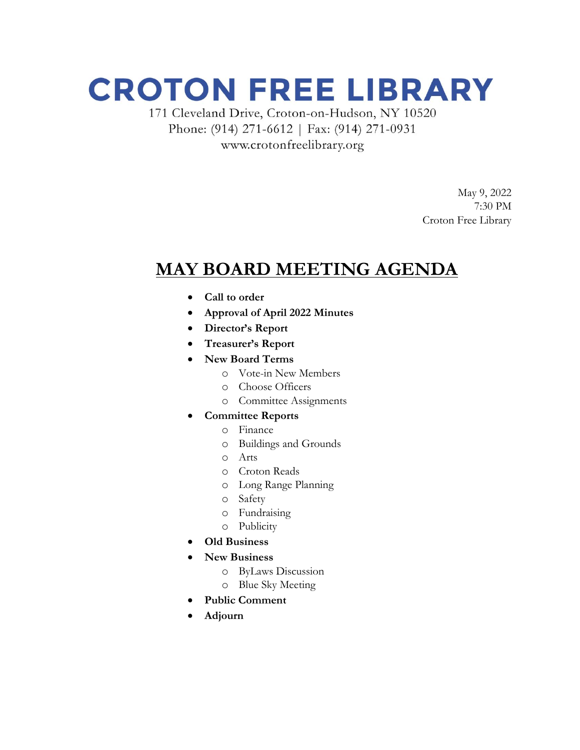## **CROTON FREE LIBRARY**

171 Cleveland Drive, Croton-on-Hudson, NY 10520 Phone: (914) 271-6612 | Fax: (914) 271-0931 www.crotonfreelibrary.org

> May 9, 2022 7:30 PM Croton Free Library

### **MAY BOARD MEETING AGENDA**

- **Call to order**
- **Approval of April 2022 Minutes**
- **Director's Report**
- **Treasurer's Report**
- **New Board Terms**
	- o Vote-in New Members
	- o Choose Officers
	- o Committee Assignments
- **Committee Reports**
	- o Finance
	- o Buildings and Grounds
	- o Arts
	- o Croton Reads
	- o Long Range Planning
	- o Safety
	- o Fundraising
	- o Publicity
- **Old Business**
- **New Business**
	- o ByLaws Discussion
	- o Blue Sky Meeting
- **Public Comment**
- **Adjourn**